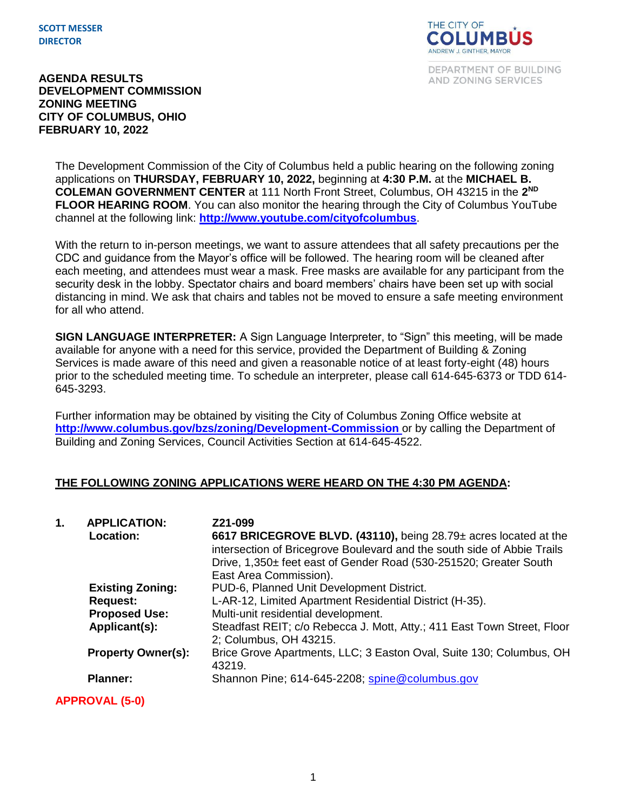**SCOTT MESSER DIRECTOR**



DEPARTMENT OF BUILDING AND ZONING SERVICES

#### **AGENDA RESULTS DEVELOPMENT COMMISSION ZONING MEETING CITY OF COLUMBUS, OHIO FEBRUARY 10, 2022**

The Development Commission of the City of Columbus held a public hearing on the following zoning applications on **THURSDAY, FEBRUARY 10, 2022,** beginning at **4:30 P.M.** at the **MICHAEL B. COLEMAN GOVERNMENT CENTER** at 111 North Front Street, Columbus, OH 43215 in the **2 ND FLOOR HEARING ROOM**. You can also monitor the hearing through the City of Columbus YouTube channel at the following link: **<http://www.youtube.com/cityofcolumbus>**.

With the return to in-person meetings, we want to assure attendees that all safety precautions per the CDC and guidance from the Mayor's office will be followed. The hearing room will be cleaned after each meeting, and attendees must wear a mask. Free masks are available for any participant from the security desk in the lobby. Spectator chairs and board members' chairs have been set up with social distancing in mind. We ask that chairs and tables not be moved to ensure a safe meeting environment for all who attend.

**SIGN LANGUAGE INTERPRETER:** A Sign Language Interpreter, to "Sign" this meeting, will be made available for anyone with a need for this service, provided the Department of Building & Zoning Services is made aware of this need and given a reasonable notice of at least forty-eight (48) hours prior to the scheduled meeting time. To schedule an interpreter, please call 614-645-6373 or TDD 614- 645-3293.

Further information may be obtained by visiting the City of Columbus Zoning Office website at **http://www.columbus.gov/bzs/zoning/Development-Commission** or by calling the Department of Building and Zoning Services, Council Activities Section at 614-645-4522.

## **THE FOLLOWING ZONING APPLICATIONS WERE HEARD ON THE 4:30 PM AGENDA:**

| 1. | <b>APPLICATION:</b><br>Location: | Z21-099<br>6617 BRICEGROVE BLVD. (43110), being 28.79± acres located at the<br>intersection of Bricegrove Boulevard and the south side of Abbie Trails<br>Drive, 1,350± feet east of Gender Road (530-251520; Greater South<br>East Area Commission). |
|----|----------------------------------|-------------------------------------------------------------------------------------------------------------------------------------------------------------------------------------------------------------------------------------------------------|
|    | <b>Existing Zoning:</b>          | PUD-6, Planned Unit Development District.                                                                                                                                                                                                             |
|    | <b>Request:</b>                  | L-AR-12, Limited Apartment Residential District (H-35).                                                                                                                                                                                               |
|    | <b>Proposed Use:</b>             | Multi-unit residential development.                                                                                                                                                                                                                   |
|    | Applicant(s):                    | Steadfast REIT; c/o Rebecca J. Mott, Atty.; 411 East Town Street, Floor<br>2; Columbus, OH 43215.                                                                                                                                                     |
|    | <b>Property Owner(s):</b>        | Brice Grove Apartments, LLC; 3 Easton Oval, Suite 130; Columbus, OH<br>43219.                                                                                                                                                                         |
|    | <b>Planner:</b>                  | Shannon Pine; 614-645-2208; spine@columbus.gov                                                                                                                                                                                                        |

**APPROVAL (5-0)**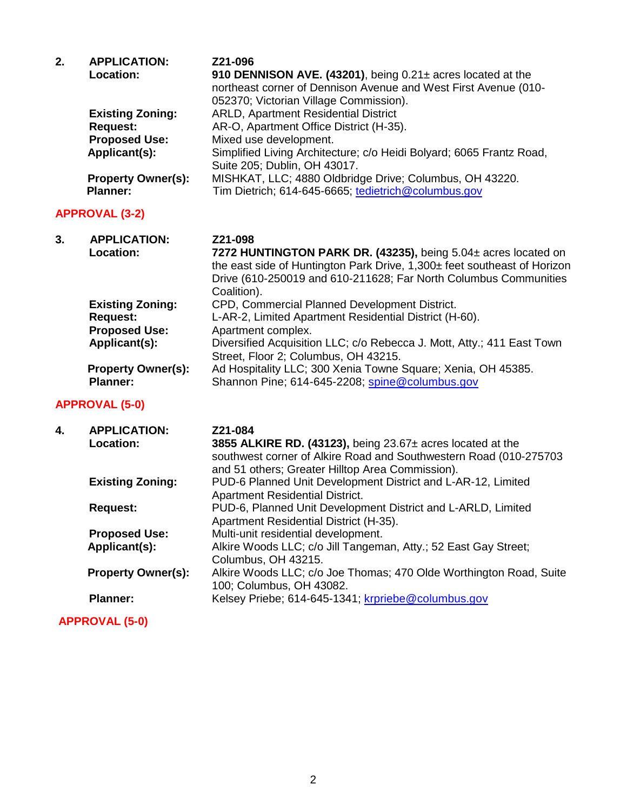| 2. | <b>APPLICATION:</b><br>Location:                                                    | Z21-096<br>910 DENNISON AVE. (43201), being $0.21\pm$ acres located at the<br>northeast corner of Dennison Avenue and West First Avenue (010-<br>052370; Victorian Village Commission).                                                         |
|----|-------------------------------------------------------------------------------------|-------------------------------------------------------------------------------------------------------------------------------------------------------------------------------------------------------------------------------------------------|
|    | <b>Existing Zoning:</b><br><b>Request:</b><br><b>Proposed Use:</b><br>Applicant(s): | <b>ARLD, Apartment Residential District</b><br>AR-O, Apartment Office District (H-35).<br>Mixed use development.<br>Simplified Living Architecture; c/o Heidi Bolyard; 6065 Frantz Road,                                                        |
|    | <b>Property Owner(s):</b><br><b>Planner:</b>                                        | Suite 205; Dublin, OH 43017.<br>MISHKAT, LLC; 4880 Oldbridge Drive; Columbus, OH 43220.<br>Tim Dietrich; 614-645-6665; tedietrich@columbus.gov                                                                                                  |
|    | <b>APPROVAL (3-2)</b>                                                               |                                                                                                                                                                                                                                                 |
| 3. | <b>APPLICATION:</b><br>Location:                                                    | Z21-098<br>7272 HUNTINGTON PARK DR. (43235), being 5.04± acres located on<br>the east side of Huntington Park Drive, 1,300± feet southeast of Horizon<br>Drive (610-250019 and 610-211628; Far North Columbus Communities<br>Coalition).        |
|    | <b>Existing Zoning:</b><br><b>Request:</b><br><b>Proposed Use:</b><br>Applicant(s): | CPD, Commercial Planned Development District.<br>L-AR-2, Limited Apartment Residential District (H-60).<br>Apartment complex.<br>Diversified Acquisition LLC; c/o Rebecca J. Mott, Atty.; 411 East Town<br>Street, Floor 2; Columbus, OH 43215. |
|    | <b>Property Owner(s):</b><br><b>Planner:</b>                                        | Ad Hospitality LLC; 300 Xenia Towne Square; Xenia, OH 45385.<br>Shannon Pine; 614-645-2208; spine@columbus.gov                                                                                                                                  |
|    | <b>APPROVAL (5-0)</b>                                                               |                                                                                                                                                                                                                                                 |
| 4. | <b>APPLICATION:</b><br>Location:                                                    | Z21-084<br>3855 ALKIRE RD. (43123), being $23.67\pm$ acres located at the<br>southwest corner of Alkire Road and Southwestern Road (010-275703<br>and 51 others; Greater Hilltop Area Commission).                                              |
|    | <b>Existing Zoning:</b>                                                             | PUD-6 Planned Unit Development District and L-AR-12, Limited<br><b>Apartment Residential District.</b>                                                                                                                                          |
|    | <b>Request:</b>                                                                     | PUD-6, Planned Unit Development District and L-ARLD, Limited<br>Apartment Residential District (H-35).                                                                                                                                          |
|    | <b>Proposed Use:</b><br>Applicant(s):                                               | Multi-unit residential development.<br>Alkire Woods LLC; c/o Jill Tangeman, Atty.; 52 East Gay Street;<br>Columbus, OH 43215.                                                                                                                   |
|    | <b>Property Owner(s):</b>                                                           | Alkire Woods LLC; c/o Joe Thomas; 470 Olde Worthington Road, Suite<br>100; Columbus, OH 43082.                                                                                                                                                  |
|    | <b>Planner:</b>                                                                     | Kelsey Priebe; 614-645-1341; krpriebe@columbus.gov                                                                                                                                                                                              |

## **APPROVAL (5-0)**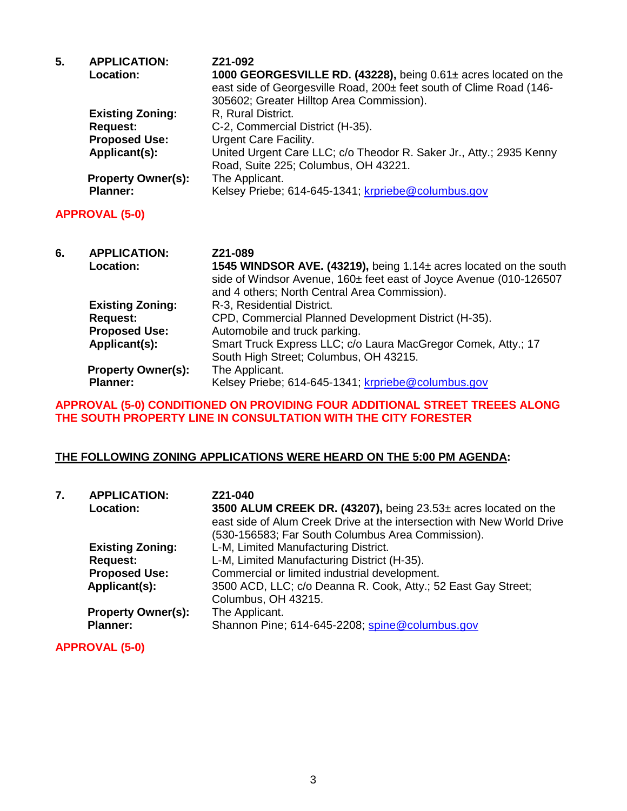| 5. | <b>APPLICATION:</b>       | Z21-092                                                             |
|----|---------------------------|---------------------------------------------------------------------|
|    | Location:                 | 1000 GEORGESVILLE RD. (43228), being 0.61± acres located on the     |
|    |                           | east side of Georgesville Road, 200± feet south of Clime Road (146- |
|    |                           | 305602; Greater Hilltop Area Commission).                           |
|    | <b>Existing Zoning:</b>   | R, Rural District.                                                  |
|    | <b>Request:</b>           | C-2, Commercial District (H-35).                                    |
|    | <b>Proposed Use:</b>      | Urgent Care Facility.                                               |
|    | Applicant(s):             | United Urgent Care LLC; c/o Theodor R. Saker Jr., Atty.; 2935 Kenny |
|    |                           | Road, Suite 225; Columbus, OH 43221.                                |
|    | <b>Property Owner(s):</b> | The Applicant.                                                      |
|    | <b>Planner:</b>           | Kelsey Priebe; 614-645-1341; krpriebe@columbus.gov                  |
|    | <b>APPROVAL (5-0)</b>     |                                                                     |

| 6. | <b>APPLICATION:</b>       | Z21-089                                                            |
|----|---------------------------|--------------------------------------------------------------------|
|    | Location:                 | 1545 WINDSOR AVE. (43219), being 1.14± acres located on the south  |
|    |                           | side of Windsor Avenue, 160± feet east of Joyce Avenue (010-126507 |
|    |                           | and 4 others; North Central Area Commission).                      |
|    | <b>Existing Zoning:</b>   | R-3, Residential District.                                         |
|    | <b>Request:</b>           | CPD, Commercial Planned Development District (H-35).               |
|    | <b>Proposed Use:</b>      | Automobile and truck parking.                                      |
|    | Applicant(s):             | Smart Truck Express LLC; c/o Laura MacGregor Comek, Atty.; 17      |
|    |                           | South High Street; Columbus, OH 43215.                             |
|    | <b>Property Owner(s):</b> | The Applicant.                                                     |
|    | <b>Planner:</b>           | Kelsey Priebe; 614-645-1341; krpriebe@columbus.gov                 |

### **APPROVAL (5-0) CONDITIONED ON PROVIDING FOUR ADDITIONAL STREET TREEES ALONG THE SOUTH PROPERTY LINE IN CONSULTATION WITH THE CITY FORESTER**

### **THE FOLLOWING ZONING APPLICATIONS WERE HEARD ON THE 5:00 PM AGENDA:**

| 7. | <b>APPLICATION:</b><br>Location: | Z21-040<br>3500 ALUM CREEK DR. (43207), being 23.53± acres located on the<br>east side of Alum Creek Drive at the intersection with New World Drive<br>(530-156583; Far South Columbus Area Commission). |
|----|----------------------------------|----------------------------------------------------------------------------------------------------------------------------------------------------------------------------------------------------------|
|    | <b>Existing Zoning:</b>          | L-M, Limited Manufacturing District.                                                                                                                                                                     |
|    | <b>Request:</b>                  | L-M, Limited Manufacturing District (H-35).                                                                                                                                                              |
|    | <b>Proposed Use:</b>             | Commercial or limited industrial development.                                                                                                                                                            |
|    | Applicant(s):                    | 3500 ACD, LLC; c/o Deanna R. Cook, Atty.; 52 East Gay Street;<br>Columbus, OH 43215.                                                                                                                     |
|    | <b>Property Owner(s):</b>        | The Applicant.                                                                                                                                                                                           |
|    | <b>Planner:</b>                  | Shannon Pine; 614-645-2208; spine@columbus.gov                                                                                                                                                           |

**APPROVAL (5-0)**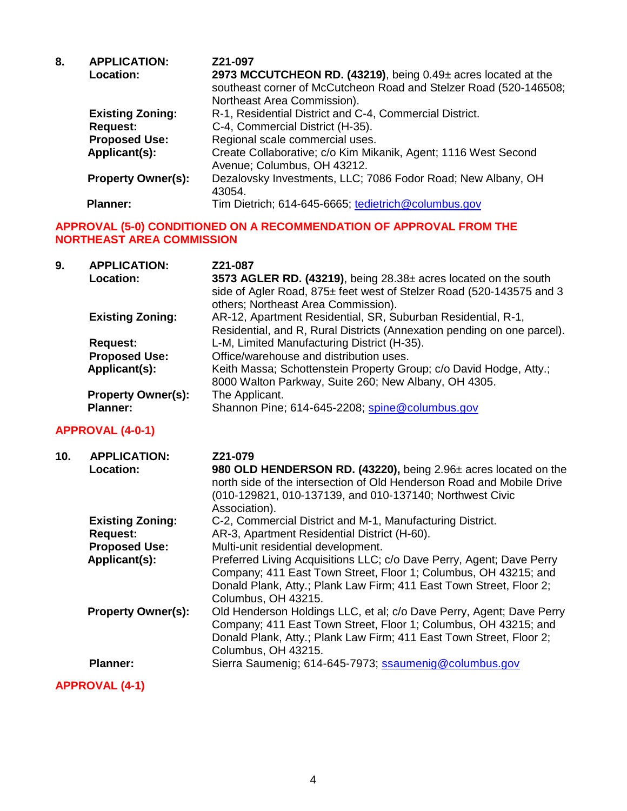| 8. | <b>APPLICATION:</b>       | Z21-097                                                           |
|----|---------------------------|-------------------------------------------------------------------|
|    | Location:                 | 2973 MCCUTCHEON RD. (43219), being 0.49± acres located at the     |
|    |                           | southeast corner of McCutcheon Road and Stelzer Road (520-146508; |
|    |                           | Northeast Area Commission).                                       |
|    | <b>Existing Zoning:</b>   | R-1, Residential District and C-4, Commercial District.           |
|    | <b>Request:</b>           | C-4, Commercial District (H-35).                                  |
|    | <b>Proposed Use:</b>      | Regional scale commercial uses.                                   |
|    | Applicant(s):             | Create Collaborative; c/o Kim Mikanik, Agent; 1116 West Second    |
|    |                           | Avenue; Columbus, OH 43212.                                       |
|    | <b>Property Owner(s):</b> | Dezalovsky Investments, LLC; 7086 Fodor Road; New Albany, OH      |
|    |                           | 43054.                                                            |
|    | <b>Planner:</b>           | Tim Dietrich; 614-645-6665; tedietrich@columbus.gov               |

### **APPROVAL (5-0) CONDITIONED ON A RECOMMENDATION OF APPROVAL FROM THE NORTHEAST AREA COMMISSION**

| 9. | <b>APPLICATION:</b>       | Z21-087                                                                                                     |
|----|---------------------------|-------------------------------------------------------------------------------------------------------------|
|    | <b>Location:</b>          | 3573 AGLER RD. (43219), being 28.38± acres located on the south                                             |
|    |                           | side of Agler Road, 875± feet west of Stelzer Road (520-143575 and 3<br>others; Northeast Area Commission). |
|    | <b>Existing Zoning:</b>   | AR-12, Apartment Residential, SR, Suburban Residential, R-1,                                                |
|    |                           | Residential, and R, Rural Districts (Annexation pending on one parcel).                                     |
|    | Request:                  | L-M, Limited Manufacturing District (H-35).                                                                 |
|    | <b>Proposed Use:</b>      | Office/warehouse and distribution uses.                                                                     |
|    | Applicant(s):             | Keith Massa; Schottenstein Property Group; c/o David Hodge, Atty.;                                          |
|    |                           | 8000 Walton Parkway, Suite 260; New Albany, OH 4305.                                                        |
|    | <b>Property Owner(s):</b> | The Applicant.                                                                                              |
|    | <b>Planner:</b>           | Shannon Pine; 614-645-2208; spine@columbus.gov                                                              |

# **APPROVAL (4-0-1)**

| 10. | <b>APPLICATION:</b>       | Z21-079                                                               |
|-----|---------------------------|-----------------------------------------------------------------------|
|     | Location:                 | 980 OLD HENDERSON RD. (43220), being 2.96± acres located on the       |
|     |                           | north side of the intersection of Old Henderson Road and Mobile Drive |
|     |                           | (010-129821, 010-137139, and 010-137140; Northwest Civic              |
|     |                           | Association).                                                         |
|     | <b>Existing Zoning:</b>   | C-2, Commercial District and M-1, Manufacturing District.             |
|     | <b>Request:</b>           | AR-3, Apartment Residential District (H-60).                          |
|     | <b>Proposed Use:</b>      | Multi-unit residential development.                                   |
|     | Applicant(s):             | Preferred Living Acquisitions LLC; c/o Dave Perry, Agent; Dave Perry  |
|     |                           | Company; 411 East Town Street, Floor 1; Columbus, OH 43215; and       |
|     |                           | Donald Plank, Atty.; Plank Law Firm; 411 East Town Street, Floor 2;   |
|     |                           | Columbus, OH 43215.                                                   |
|     | <b>Property Owner(s):</b> | Old Henderson Holdings LLC, et al; c/o Dave Perry, Agent; Dave Perry  |
|     |                           | Company; 411 East Town Street, Floor 1; Columbus, OH 43215; and       |
|     |                           | Donald Plank, Atty.; Plank Law Firm; 411 East Town Street, Floor 2;   |
|     |                           | Columbus, OH 43215.                                                   |
|     | <b>Planner:</b>           | Sierra Saumenig; 614-645-7973; ssaumenig@columbus.gov                 |
|     | <b>APPROVAL (4-1)</b>     |                                                                       |